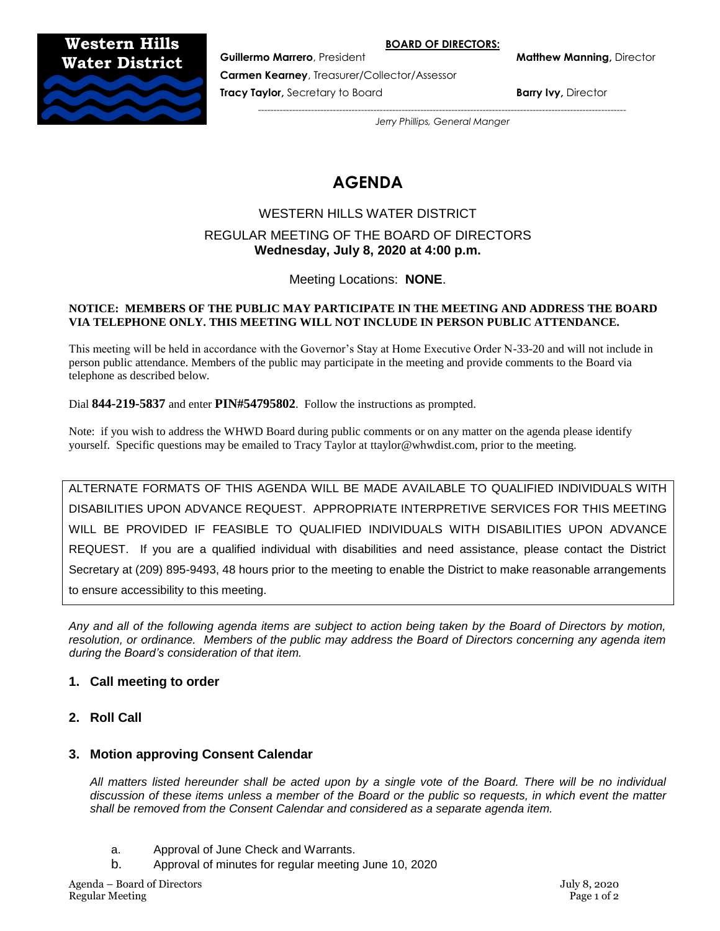#### **BOARD OF DIRECTORS:**

**Western Hills Water District**



**Guillermo Marrero**, President **Matthew Manning,** Director

**Carmen Kearney**, Treasurer/Collector/Assessor

**Tracy Taylor,** Secretary to Board **Barry Ivy, Director and Barry Ivy, Director** 

*----------------------------------------------------------------------------------------------------------------------*

*Jerry Phillips, General Manger*

# **AGENDA**

# WESTERN HILLS WATER DISTRICT REGULAR MEETING OF THE BOARD OF DIRECTORS **Wednesday, July 8, 2020 at 4:00 p.m.**

Meeting Locations: **NONE**.

#### **NOTICE: MEMBERS OF THE PUBLIC MAY PARTICIPATE IN THE MEETING AND ADDRESS THE BOARD VIA TELEPHONE ONLY. THIS MEETING WILL NOT INCLUDE IN PERSON PUBLIC ATTENDANCE.**

This meeting will be held in accordance with the Governor's Stay at Home Executive Order N-33-20 and will not include in person public attendance. Members of the public may participate in the meeting and provide comments to the Board via telephone as described below.

Dial **844-219-5837** and enter **PIN#54795802**. Follow the instructions as prompted.

Note: if you wish to address the WHWD Board during public comments or on any matter on the agenda please identify yourself. Specific questions may be emailed to Tracy Taylor at ttaylor@whwdist.com, prior to the meeting.

ALTERNATE FORMATS OF THIS AGENDA WILL BE MADE AVAILABLE TO QUALIFIED INDIVIDUALS WITH DISABILITIES UPON ADVANCE REQUEST. APPROPRIATE INTERPRETIVE SERVICES FOR THIS MEETING WILL BE PROVIDED IF FEASIBLE TO QUALIFIED INDIVIDUALS WITH DISABILITIES UPON ADVANCE REQUEST. If you are a qualified individual with disabilities and need assistance, please contact the District Secretary at (209) 895-9493, 48 hours prior to the meeting to enable the District to make reasonable arrangements to ensure accessibility to this meeting.

*Any and all of the following agenda items are subject to action being taken by the Board of Directors by motion, resolution, or ordinance. Members of the public may address the Board of Directors concerning any agenda item during the Board's consideration of that item.*

# **1. Call meeting to order**

**2. Roll Call**

# **3. Motion approving Consent Calendar**

*All matters listed hereunder shall be acted upon by a single vote of the Board. There will be no individual discussion of these items unless a member of the Board or the public so requests, in which event the matter shall be removed from the Consent Calendar and considered as a separate agenda item.*

- a. Approval of June Check and Warrants.
- b. Approval of minutes for regular meeting June 10, 2020

Agenda – Board of Directors July 8, 2020 Regular Meeting Page 1 of 2